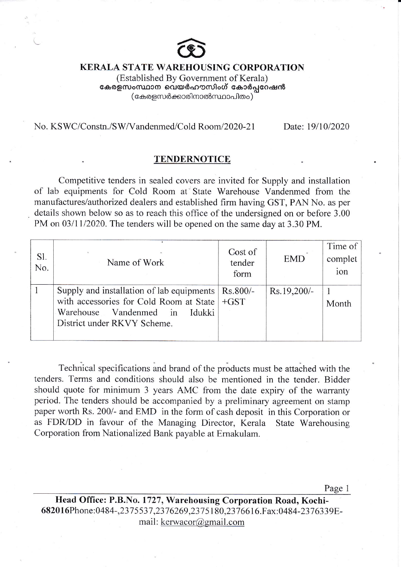

## KERALA STATE WAREHOUSING CORPORATION

(Established By Govemment of Kerala) കേരളസംസ്ഥാന വെയർഹൗസിംഗ് കോർപ്പറേഷൻ ( കേരളസർക്കാരിനാൽസ്ഥാപിതം )

## No. KSWC/Constn./SW/Vandenmed/Cold Room/2020-21 Date: 19/10/2020

## TENDERNOTICE

Competitive tenders in sealed covers are invited for Supply and installation of lab equipments for Cold Room at State Warehouse Vandenmed from the manufactures/authorized dealers and established firm having GST, PAN No. as per details shown below so as to reach this office of the undersigned on or before 3.00 PM on 03/11/2020. The tenders will be opened on the same day at 3.30 PM.

| Sl.<br>No. | Name of Work                                                                                                                                                   | Cost of<br>tender<br>form | <b>EMD</b>  | Time of<br>complet<br>ion |
|------------|----------------------------------------------------------------------------------------------------------------------------------------------------------------|---------------------------|-------------|---------------------------|
|            | Supply and installation of lab equipments<br>with accessories for Cold Room at State   +GST<br>Warehouse Vandenmed in<br>Idukki<br>District under RKVY Scheme. | Rs.800/-                  | Rs.19,200/- | Month                     |

Technical specifications and brand of the products must be attached with the tenders. Terms and conditions should also be mentioned in the tender. Bidder should quote for minimum 3 years AMC from the date expiry of the warranty period. The tenders should be accompanied by a preliminary agreement on stamp paper worth Rs. 200/- and EMD in the form of cash deposit in this Corporation or as FDR/DD in favour of the Managing Director, Kerala State Warehousing Corporation from Nationalized Bank payable at Emakulam.

Page <sup>1</sup>

Head Office: P.B.No. 1727, Warehousing Corporation Road, Kochi-6820l6Phone:0484-,237 5537 ,2376269,2375180,2376616.Fax:0484-2376339Email: kerwacor@gmail.com